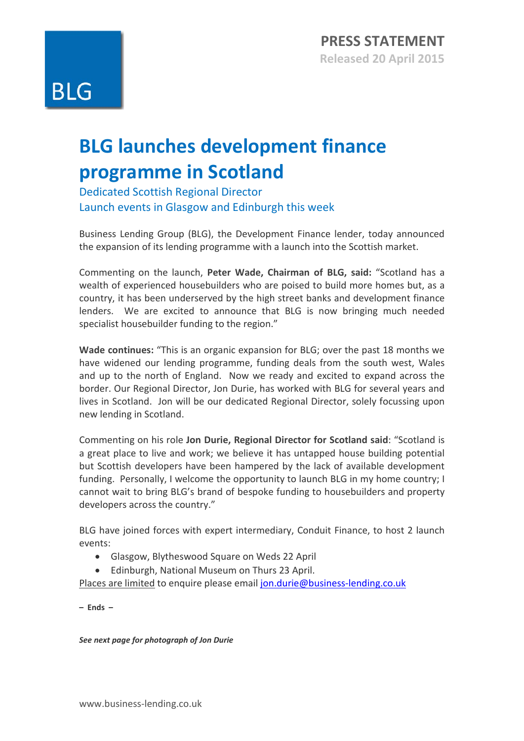## **BLG launches development finance programme in Scotland**

Dedicated Scottish Regional Director Launch events in Glasgow and Edinburgh this week

Business Lending Group (BLG), the Development Finance lender, today announced the expansion of its lending programme with a launch into the Scottish market.

Commenting on the launch, **Peter Wade, Chairman of BLG, said:** "Scotland has a wealth of experienced housebuilders who are poised to build more homes but, as a country, it has been underserved by the high street banks and development finance lenders. We are excited to announce that BLG is now bringing much needed specialist housebuilder funding to the region."

**Wade continues:** "This is an organic expansion for BLG; over the past 18 months we have widened our lending programme, funding deals from the south west, Wales and up to the north of England. Now we ready and excited to expand across the border. Our Regional Director, Jon Durie, has worked with BLG for several years and lives in Scotland. Jon will be our dedicated Regional Director, solely focussing upon new lending in Scotland.

Commenting on his role **Jon Durie, Regional Director for Scotland said**: "Scotland is a great place to live and work; we believe it has untapped house building potential but Scottish developers have been hampered by the lack of available development funding. Personally, I welcome the opportunity to launch BLG in my home country; I cannot wait to bring BLG's brand of bespoke funding to housebuilders and property developers across the country."

BLG have joined forces with expert intermediary, Conduit Finance, to host 2 launch events:

- Glasgow, Blytheswood Square on Weds 22 April
- Edinburgh, National Museum on Thurs 23 April.

Places are limited to enquire please email [jon.durie@business-lending.co.uk](mailto:jon.durie@business-lending.co.uk)

**– Ends –**

*See next page for photograph of Jon Durie*